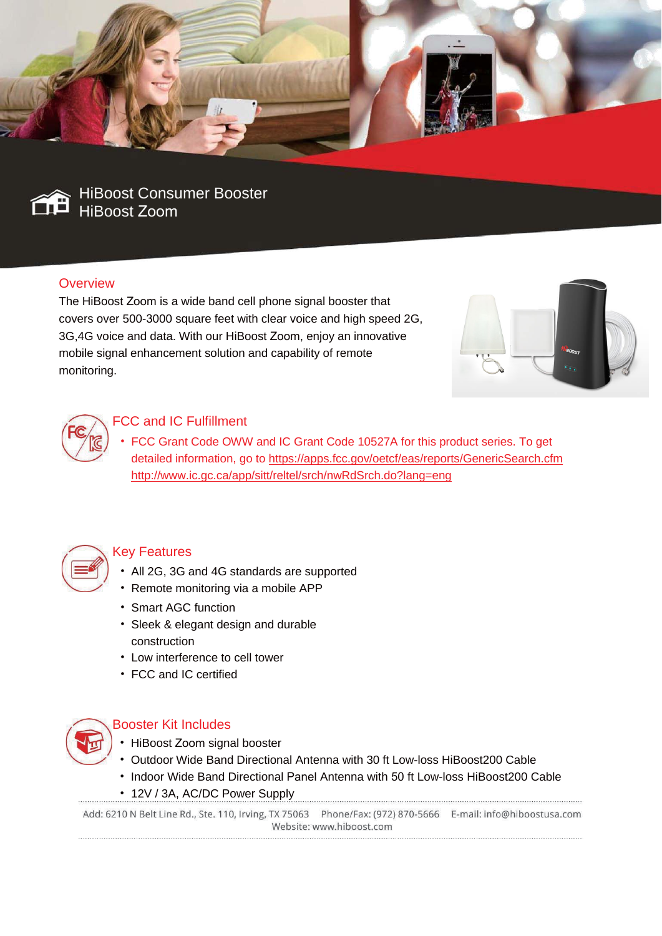



HiBoost Consumer Booster HiBoost Zoom

# **Overview**

The HiBoost Zoom is a wide band cell phone signal booster that covers over 500-3000 square feet with clear voice and high speed 2G, 3G,4G voice and data. With our HiBoost Zoom, enjoy an innovative mobile signal enhancement solution and capability of remote monitoring.





# FCC and IC Fulfillment

• FCC Grant Code OWW and IC Grant Code 10527A for this product series. To get detailed information, go to https://apps.fcc.gov/oetcf/eas/reports/GenericSearch.cfm http://www.ic.gc.ca/app/sitt/reltel/srch/nwRdSrch.do?lang=eng



### Key Features

- All 2G, 3G and 4G standards are supported
- Remote monitoring via a mobile APP
- Smart AGC function
- Sleek & elegant design and durable construction
- Low interference to cell tower
- FCC and IC certified



#### Booster Kit Includes

- HiBoost Zoom signal booster
- Outdoor Wide Band Directional Antenna with 30 ft Low-loss HiBoost200 Cable
- Indoor Wide Band Directional Panel Antenna with 50 ft Low-loss HiBoost200 Cable
- 12V / 3A, AC/DC Power Supply

Add: 6210 N Belt Line Rd., Ste. 110, Irving, TX 75063 Phone/Fax: (972) 870-5666 E-mail: info@hiboostusa.com Website: www.hiboost.com